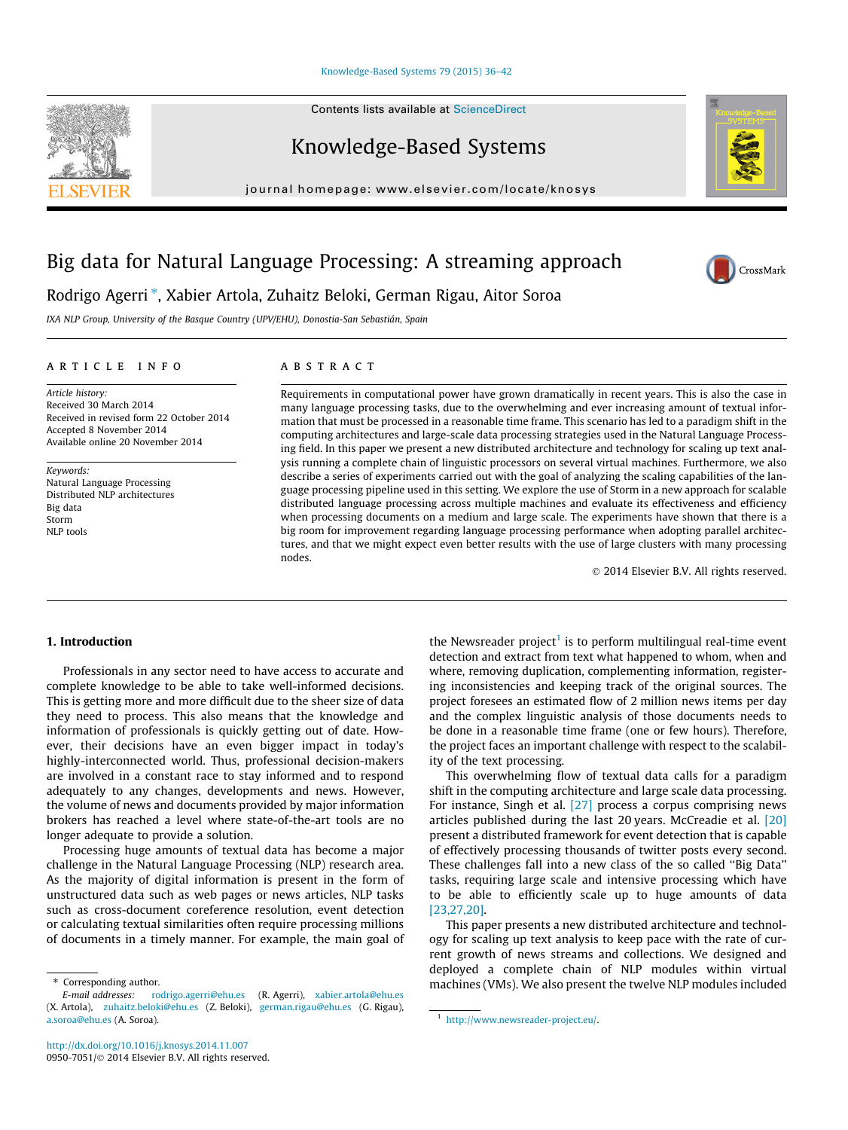#### [Knowledge-Based Systems 79 \(2015\) 36–42](http://dx.doi.org/10.1016/j.knosys.2014.11.007)

Contents lists available at [ScienceDirect](http://www.sciencedirect.com/science/journal/09507051)



journal homepage: [www.elsevier.com/locate/knosys](http://www.elsevier.com/locate/knosys)

# Big data for Natural Language Processing: A streaming approach

Rodrigo Agerri \*, Xabier Artola, Zuhaitz Beloki, German Rigau, Aitor Soroa

IXA NLP Group, University of the Basque Country (UPV/EHU), Donostia-San Sebastián, Spain

# article info

Article history: Received 30 March 2014 Received in revised form 22 October 2014 Accepted 8 November 2014 Available online 20 November 2014

Keywords: Natural Language Processing Distributed NLP architectures Big data Storm NLP tools

# **ABSTRACT**

Requirements in computational power have grown dramatically in recent years. This is also the case in many language processing tasks, due to the overwhelming and ever increasing amount of textual information that must be processed in a reasonable time frame. This scenario has led to a paradigm shift in the computing architectures and large-scale data processing strategies used in the Natural Language Processing field. In this paper we present a new distributed architecture and technology for scaling up text analysis running a complete chain of linguistic processors on several virtual machines. Furthermore, we also describe a series of experiments carried out with the goal of analyzing the scaling capabilities of the language processing pipeline used in this setting. We explore the use of Storm in a new approach for scalable distributed language processing across multiple machines and evaluate its effectiveness and efficiency when processing documents on a medium and large scale. The experiments have shown that there is a big room for improvement regarding language processing performance when adopting parallel architectures, and that we might expect even better results with the use of large clusters with many processing nodes.

- 2014 Elsevier B.V. All rights reserved.

# 1. Introduction

Professionals in any sector need to have access to accurate and complete knowledge to be able to take well-informed decisions. This is getting more and more difficult due to the sheer size of data they need to process. This also means that the knowledge and information of professionals is quickly getting out of date. However, their decisions have an even bigger impact in today's highly-interconnected world. Thus, professional decision-makers are involved in a constant race to stay informed and to respond adequately to any changes, developments and news. However, the volume of news and documents provided by major information brokers has reached a level where state-of-the-art tools are no longer adequate to provide a solution.

Processing huge amounts of textual data has become a major challenge in the Natural Language Processing (NLP) research area. As the majority of digital information is present in the form of unstructured data such as web pages or news articles, NLP tasks such as cross-document coreference resolution, event detection or calculating textual similarities often require processing millions of documents in a timely manner. For example, the main goal of

⇑ Corresponding author.

E-mail addresses: [rodrigo.agerri@ehu.es](mailto:    rodrigo.agerri@ehu.es   ) (R. Agerri), [xabier.artola@ehu.es](mailto:  xabier.artola@ehu.es  ) (X. Artola), [zuhaitz.beloki@ehu.es](mailto:   zuhaitz.beloki@ehu.es  ) (Z. Beloki), [german.rigau@ehu.es](mailto:  german.rigau@ehu.es  ) (G. Rigau), [a.soroa@ehu.es](mailto:  a.soroa@ehu.es) (A. Soroa). 2 <http://www.newsreader-project.eu/>. 1 http://www.newsreader-project.eu/.

the Newsreader project<sup>1</sup> is to perform multilingual real-time event detection and extract from text what happened to whom, when and where, removing duplication, complementing information, registering inconsistencies and keeping track of the original sources. The project foresees an estimated flow of 2 million news items per day and the complex linguistic analysis of those documents needs to be done in a reasonable time frame (one or few hours). Therefore, the project faces an important challenge with respect to the scalability of the text processing.

This overwhelming flow of textual data calls for a paradigm shift in the computing architecture and large scale data processing. For instance, Singh et al. [\[27\]](#page-6-0) process a corpus comprising news articles published during the last 20 years. McCreadie et al. [\[20\]](#page-6-0) present a distributed framework for event detection that is capable of effectively processing thousands of twitter posts every second. These challenges fall into a new class of the so called ''Big Data'' tasks, requiring large scale and intensive processing which have to be able to efficiently scale up to huge amounts of data [\[23,27,20\].](#page-6-0)

This paper presents a new distributed architecture and technology for scaling up text analysis to keep pace with the rate of current growth of news streams and collections. We designed and deployed a complete chain of NLP modules within virtual machines (VMs). We also present the twelve NLP modules included





CrossMark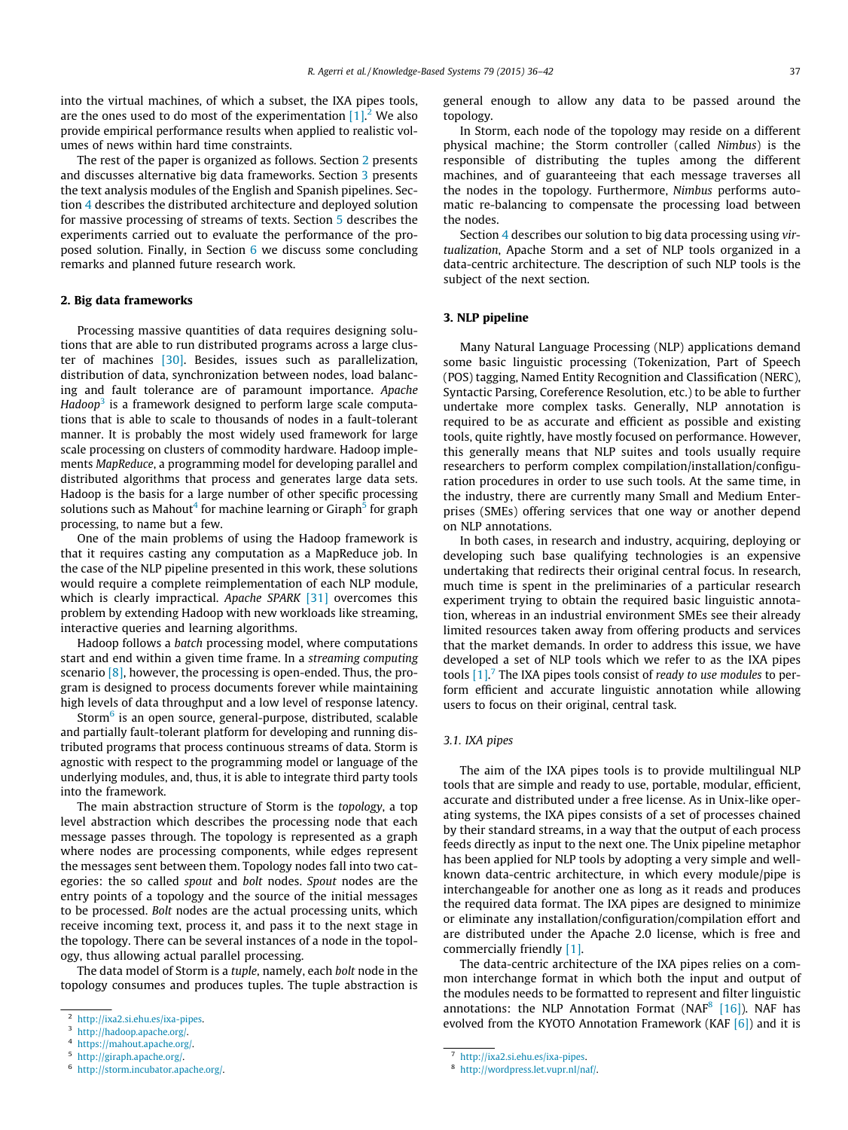<span id="page-1-0"></span>into the virtual machines, of which a subset, the IXA pipes tools, are the ones used to do most of the experimentation  $[1]^2$  $[1]^2$  We also provide empirical performance results when applied to realistic volumes of news within hard time constraints.

The rest of the paper is organized as follows. Section 2 presents and discusses alternative big data frameworks. Section 3 presents the text analysis modules of the English and Spanish pipelines. Section [4](#page-3-0) describes the distributed architecture and deployed solution for massive processing of streams of texts. Section [5](#page-4-0) describes the experiments carried out to evaluate the performance of the proposed solution. Finally, in Section [6](#page-5-0) we discuss some concluding remarks and planned future research work.

# 2. Big data frameworks

Processing massive quantities of data requires designing solutions that are able to run distributed programs across a large cluster of machines [\[30\]](#page-6-0). Besides, issues such as parallelization, distribution of data, synchronization between nodes, load balancing and fault tolerance are of paramount importance. Apache  $Hadoop<sup>3</sup>$  is a framework designed to perform large scale computations that is able to scale to thousands of nodes in a fault-tolerant manner. It is probably the most widely used framework for large scale processing on clusters of commodity hardware. Hadoop implements MapReduce, a programming model for developing parallel and distributed algorithms that process and generates large data sets. Hadoop is the basis for a large number of other specific processing solutions such as Mahout<sup>4</sup> for machine learning or Giraph<sup>5</sup> for graph processing, to name but a few.

One of the main problems of using the Hadoop framework is that it requires casting any computation as a MapReduce job. In the case of the NLP pipeline presented in this work, these solutions would require a complete reimplementation of each NLP module, which is clearly impractical. Apache SPARK [\[31\]](#page-6-0) overcomes this problem by extending Hadoop with new workloads like streaming, interactive queries and learning algorithms.

Hadoop follows a batch processing model, where computations start and end within a given time frame. In a streaming computing scenario [\[8\],](#page-6-0) however, the processing is open-ended. Thus, the program is designed to process documents forever while maintaining high levels of data throughput and a low level of response latency.

Storm6 is an open source, general-purpose, distributed, scalable and partially fault-tolerant platform for developing and running distributed programs that process continuous streams of data. Storm is agnostic with respect to the programming model or language of the underlying modules, and, thus, it is able to integrate third party tools into the framework.

The main abstraction structure of Storm is the topology, a top level abstraction which describes the processing node that each message passes through. The topology is represented as a graph where nodes are processing components, while edges represent the messages sent between them. Topology nodes fall into two categories: the so called spout and bolt nodes. Spout nodes are the entry points of a topology and the source of the initial messages to be processed. Bolt nodes are the actual processing units, which receive incoming text, process it, and pass it to the next stage in the topology. There can be several instances of a node in the topology, thus allowing actual parallel processing.

The data model of Storm is a tuple, namely, each bolt node in the topology consumes and produces tuples. The tuple abstraction is general enough to allow any data to be passed around the topology.

In Storm, each node of the topology may reside on a different physical machine; the Storm controller (called Nimbus) is the responsible of distributing the tuples among the different machines, and of guaranteeing that each message traverses all the nodes in the topology. Furthermore, Nimbus performs automatic re-balancing to compensate the processing load between the nodes.

Section [4](#page-3-0) describes our solution to big data processing using virtualization, Apache Storm and a set of NLP tools organized in a data-centric architecture. The description of such NLP tools is the subject of the next section.

# 3. NLP pipeline

Many Natural Language Processing (NLP) applications demand some basic linguistic processing (Tokenization, Part of Speech (POS) tagging, Named Entity Recognition and Classification (NERC), Syntactic Parsing, Coreference Resolution, etc.) to be able to further undertake more complex tasks. Generally, NLP annotation is required to be as accurate and efficient as possible and existing tools, quite rightly, have mostly focused on performance. However, this generally means that NLP suites and tools usually require researchers to perform complex compilation/installation/configuration procedures in order to use such tools. At the same time, in the industry, there are currently many Small and Medium Enterprises (SMEs) offering services that one way or another depend on NLP annotations.

In both cases, in research and industry, acquiring, deploying or developing such base qualifying technologies is an expensive undertaking that redirects their original central focus. In research, much time is spent in the preliminaries of a particular research experiment trying to obtain the required basic linguistic annotation, whereas in an industrial environment SMEs see their already limited resources taken away from offering products and services that the market demands. In order to address this issue, we have developed a set of NLP tools which we refer to as the IXA pipes tools  $\left[1\right]^7$  The IXA pipes tools consist of ready to use modules to perform efficient and accurate linguistic annotation while allowing users to focus on their original, central task.

## 3.1. IXA pipes

The aim of the IXA pipes tools is to provide multilingual NLP tools that are simple and ready to use, portable, modular, efficient, accurate and distributed under a free license. As in Unix-like operating systems, the IXA pipes consists of a set of processes chained by their standard streams, in a way that the output of each process feeds directly as input to the next one. The Unix pipeline metaphor has been applied for NLP tools by adopting a very simple and wellknown data-centric architecture, in which every module/pipe is interchangeable for another one as long as it reads and produces the required data format. The IXA pipes are designed to minimize or eliminate any installation/configuration/compilation effort and are distributed under the Apache 2.0 license, which is free and commercially friendly [\[1\]](#page-5-0).

The data-centric architecture of the IXA pipes relies on a common interchange format in which both the input and output of the modules needs to be formatted to represent and filter linguistic annotations: the NLP Annotation Format (NA $F^8$  [\[16\]\)](#page-6-0). NAF has evolved from the KYOTO Annotation Framework (KAF [\[6\]](#page-6-0)) and it is 2 <http://ixa2.si.ehu.es/ixa-pipes>.<br><http://hadoop.apache.org/>.

<sup>4</sup> <https://mahout.apache.org/>.

<sup>5</sup> <http://giraph.apache.org/>.

<sup>6</sup> <http://storm.incubator.apache.org/>.

<sup>7</sup> <http://ixa2.si.ehu.es/ixa-pipes>.

<sup>8</sup> [http://wordpress.let.vupr.nl/naf/.](http://wordpress.let.vupr.nl/naf/)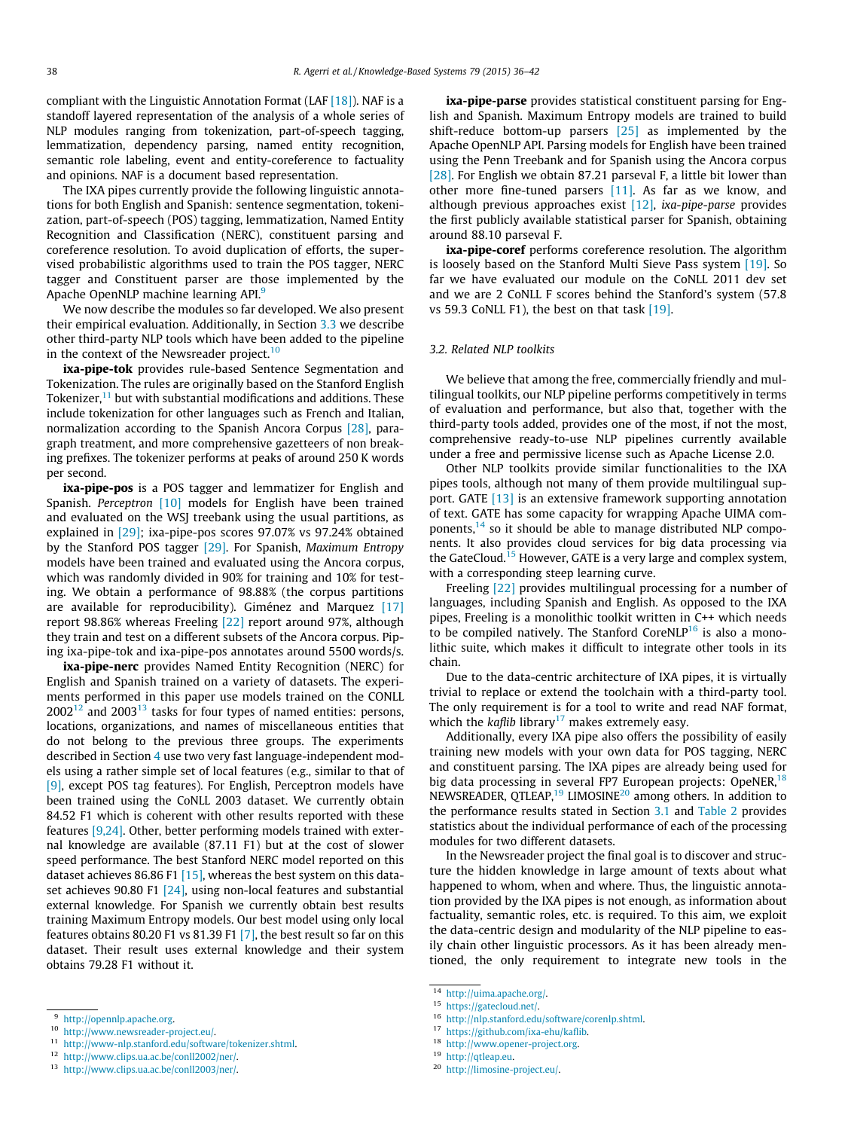compliant with the Linguistic Annotation Format (LAF [\[18\]](#page-6-0)). NAF is a standoff layered representation of the analysis of a whole series of NLP modules ranging from tokenization, part-of-speech tagging, lemmatization, dependency parsing, named entity recognition, semantic role labeling, event and entity-coreference to factuality and opinions. NAF is a document based representation.

The IXA pipes currently provide the following linguistic annotations for both English and Spanish: sentence segmentation, tokenization, part-of-speech (POS) tagging, lemmatization, Named Entity Recognition and Classification (NERC), constituent parsing and coreference resolution. To avoid duplication of efforts, the supervised probabilistic algorithms used to train the POS tagger, NERC tagger and Constituent parser are those implemented by the Apache OpenNLP machine learning API.9

We now describe the modules so far developed. We also present their empirical evaluation. Additionally, in Section [3.3](#page-3-0) we describe other third-party NLP tools which have been added to the pipeline in the context of the Newsreader project. $10$ 

ixa-pipe-tok provides rule-based Sentence Segmentation and Tokenization. The rules are originally based on the Stanford English Tokenizer, $11$  but with substantial modifications and additions. These include tokenization for other languages such as French and Italian, normalization according to the Spanish Ancora Corpus [\[28\],](#page-6-0) paragraph treatment, and more comprehensive gazetteers of non breaking prefixes. The tokenizer performs at peaks of around 250 K words per second.

ixa-pipe-pos is a POS tagger and lemmatizer for English and Spanish. Perceptron [\[10\]](#page-6-0) models for English have been trained and evaluated on the WSJ treebank using the usual partitions, as explained in [\[29\]](#page-6-0); ixa-pipe-pos scores 97.07% vs 97.24% obtained by the Stanford POS tagger [\[29\].](#page-6-0) For Spanish, Maximum Entropy models have been trained and evaluated using the Ancora corpus, which was randomly divided in 90% for training and 10% for testing. We obtain a performance of 98.88% (the corpus partitions are available for reproducibility). Giménez and Marquez [\[17\]](#page-6-0) report 98.86% whereas Freeling [\[22\]](#page-6-0) report around 97%, although they train and test on a different subsets of the Ancora corpus. Piping ixa-pipe-tok and ixa-pipe-pos annotates around 5500 words/s.

ixa-pipe-nerc provides Named Entity Recognition (NERC) for English and Spanish trained on a variety of datasets. The experiments performed in this paper use models trained on the CONLL  $2002^{12}$  and  $2003^{13}$  tasks for four types of named entities: persons, locations, organizations, and names of miscellaneous entities that do not belong to the previous three groups. The experiments described in Section [4](#page-3-0) use two very fast language-independent models using a rather simple set of local features (e.g., similar to that of [\[9\]](#page-6-0), except POS tag features). For English, Perceptron models have been trained using the CoNLL 2003 dataset. We currently obtain 84.52 F1 which is coherent with other results reported with these features [\[9,24\]](#page-6-0). Other, better performing models trained with external knowledge are available (87.11 F1) but at the cost of slower speed performance. The best Stanford NERC model reported on this dataset achieves 86.86 F1 [\[15\]](#page-6-0), whereas the best system on this data-set achieves 90.80 F1 [\[24\],](#page-6-0) using non-local features and substantial external knowledge. For Spanish we currently obtain best results training Maximum Entropy models. Our best model using only local features obtains 80.20 F1 vs 81.39 F1 [\[7\]](#page-6-0), the best result so far on this dataset. Their result uses external knowledge and their system obtains 79.28 F1 without it.

- <sup>11</sup> <http://www-nlp.stanford.edu/software/tokenizer.shtml>.
- <sup>12</sup> <http://www.clips.ua.ac.be/conll2002/ner/>.

**ixa-pipe-parse** provides statistical constituent parsing for English and Spanish. Maximum Entropy models are trained to build shift-reduce bottom-up parsers [\[25\]](#page-6-0) as implemented by the Apache OpenNLP API. Parsing models for English have been trained using the Penn Treebank and for Spanish using the Ancora corpus [\[28\]](#page-6-0). For English we obtain 87.21 parseval F, a little bit lower than other more fine-tuned parsers [\[11\].](#page-6-0) As far as we know, and although previous approaches exist  $[12]$ , ixa-pipe-parse provides the first publicly available statistical parser for Spanish, obtaining around 88.10 parseval F.

ixa-pipe-coref performs coreference resolution. The algorithm is loosely based on the Stanford Multi Sieve Pass system [\[19\].](#page-6-0) So far we have evaluated our module on the CoNLL 2011 dev set and we are 2 CoNLL F scores behind the Stanford's system (57.8 vs 59.3 CoNLL F1), the best on that task [\[19\]](#page-6-0).

# 3.2. Related NLP toolkits

We believe that among the free, commercially friendly and multilingual toolkits, our NLP pipeline performs competitively in terms of evaluation and performance, but also that, together with the third-party tools added, provides one of the most, if not the most, comprehensive ready-to-use NLP pipelines currently available under a free and permissive license such as Apache License 2.0.

Other NLP toolkits provide similar functionalities to the IXA pipes tools, although not many of them provide multilingual support. GATE [\[13\]](#page-6-0) is an extensive framework supporting annotation of text. GATE has some capacity for wrapping Apache UIMA components, $14$  so it should be able to manage distributed NLP components. It also provides cloud services for big data processing via the GateCloud.<sup>15</sup> However, GATE is a very large and complex system, with a corresponding steep learning curve.

Freeling [\[22\]](#page-6-0) provides multilingual processing for a number of languages, including Spanish and English. As opposed to the IXA pipes, Freeling is a monolithic toolkit written in C++ which needs to be compiled natively. The Stanford CoreNLP<sup>16</sup> is also a monolithic suite, which makes it difficult to integrate other tools in its chain.

Due to the data-centric architecture of IXA pipes, it is virtually trivial to replace or extend the toolchain with a third-party tool. The only requirement is for a tool to write and read NAF format, which the *kaflib* library<sup>17</sup> makes extremely easy.

Additionally, every IXA pipe also offers the possibility of easily training new models with your own data for POS tagging, NERC and constituent parsing. The IXA pipes are already being used for big data processing in several FP7 European projects: OpeNER,<sup>18</sup> NEWSREADER, QTLEAP,<sup>19</sup> LIMOSINE<sup>20</sup> among others. In addition to the performance results stated in Section [3.1](#page-1-0) and [Table 2](#page-4-0) provides statistics about the individual performance of each of the processing modules for two different datasets.

In the Newsreader project the final goal is to discover and structure the hidden knowledge in large amount of texts about what happened to whom, when and where. Thus, the linguistic annotation provided by the IXA pipes is not enough, as information about factuality, semantic roles, etc. is required. To this aim, we exploit the data-centric design and modularity of the NLP pipeline to easily chain other linguistic processors. As it has been already mentioned, the only requirement to integrate new tools in the

- <sup>15</sup> [https://gatecloud.net/.](https://gatecloud.net/)
- <sup>16</sup> [http://nlp.stanford.edu/software/corenlp.shtml.](http://nlp.stanford.edu/software/corenlp.shtml)

<sup>9</sup> <http://opennlp.apache.org>.

<sup>10</sup> <http://www.newsreader-project.eu/>.

<sup>13</sup> <http://www.clips.ua.ac.be/conll2003/ner/>.

<sup>14</sup> <http://uima.apache.org/>.

<sup>17</sup> <https://github.com/ixa-ehu/kaflib>.

<sup>18</sup> [http://www.opener-project.org.](http://www.opener-project.org)

<sup>19</sup> <http://qtleap.eu>.

<sup>20</sup> <http://limosine-project.eu/>.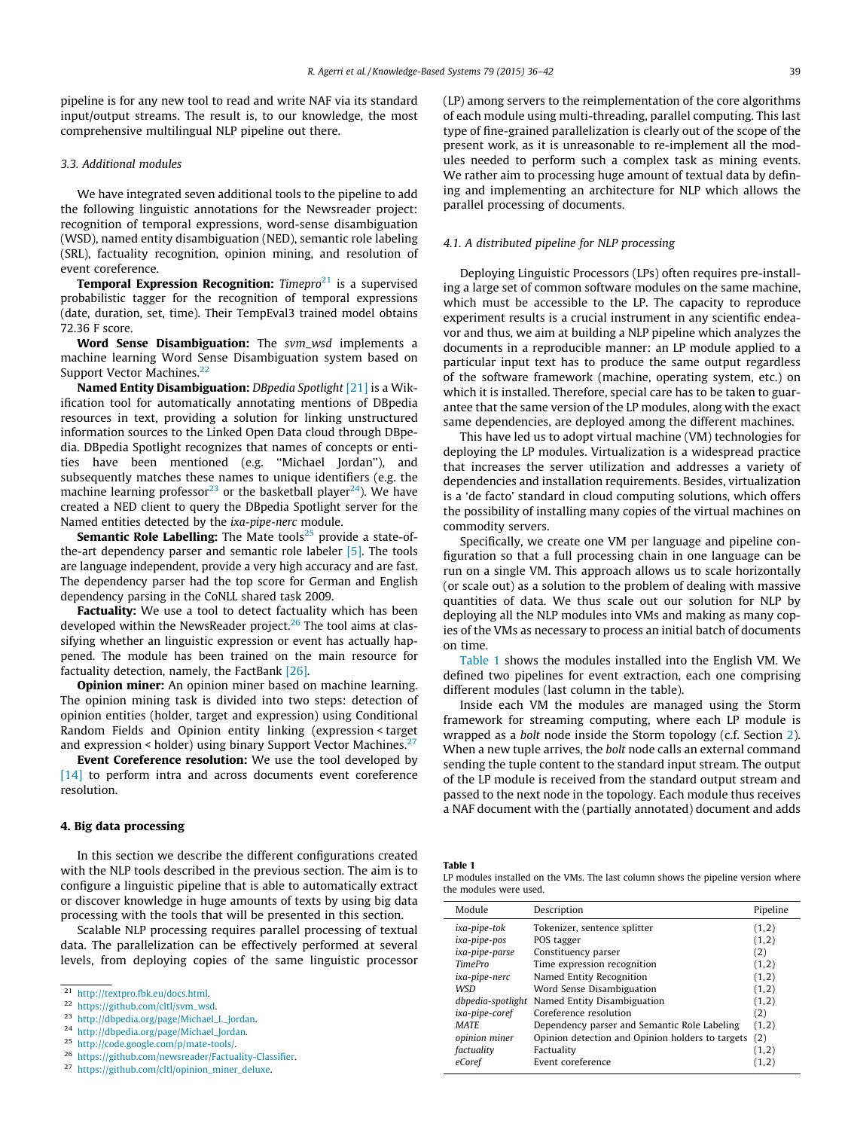<span id="page-3-0"></span>pipeline is for any new tool to read and write NAF via its standard input/output streams. The result is, to our knowledge, the most comprehensive multilingual NLP pipeline out there.

#### 3.3. Additional modules

We have integrated seven additional tools to the pipeline to add the following linguistic annotations for the Newsreader project: recognition of temporal expressions, word-sense disambiguation (WSD), named entity disambiguation (NED), semantic role labeling (SRL), factuality recognition, opinion mining, and resolution of event coreference.

**Temporal Expression Recognition:** Timepro<sup>21</sup> is a supervised probabilistic tagger for the recognition of temporal expressions (date, duration, set, time). Their TempEval3 trained model obtains 72.36 F score.

Word Sense Disambiguation: The svm\_wsd implements a machine learning Word Sense Disambiguation system based on Support Vector Machines.<sup>22</sup>

Named Entity Disambiguation: DBpedia Spotlight [\[21\]](#page-6-0) is a Wikification tool for automatically annotating mentions of DBpedia resources in text, providing a solution for linking unstructured information sources to the Linked Open Data cloud through DBpedia. DBpedia Spotlight recognizes that names of concepts or entities have been mentioned (e.g. ''Michael Jordan''), and subsequently matches these names to unique identifiers (e.g. the machine learning professor<sup>23</sup> or the basketball player<sup>24</sup>). We have created a NED client to query the DBpedia Spotlight server for the Named entities detected by the ixa-pipe-nerc module.

**Semantic Role Labelling:** The Mate tools<sup>25</sup> provide a state-ofthe-art dependency parser and semantic role labeler [\[5\]](#page-6-0). The tools are language independent, provide a very high accuracy and are fast. The dependency parser had the top score for German and English dependency parsing in the CoNLL shared task 2009.

Factuality: We use a tool to detect factuality which has been developed within the NewsReader project. $^{26}$  The tool aims at classifying whether an linguistic expression or event has actually happened. The module has been trained on the main resource for factuality detection, namely, the FactBank [\[26\].](#page-6-0)

Opinion miner: An opinion miner based on machine learning. The opinion mining task is divided into two steps: detection of opinion entities (holder, target and expression) using Conditional Random Fields and Opinion entity linking (expression < target and expression < holder) using binary Support Vector Machines. $27$ 

Event Coreference resolution: We use the tool developed by [\[14\]](#page-6-0) to perform intra and across documents event coreference resolution.

## 4. Big data processing

In this section we describe the different configurations created with the NLP tools described in the previous section. The aim is to configure a linguistic pipeline that is able to automatically extract or discover knowledge in huge amounts of texts by using big data processing with the tools that will be presented in this section.

Scalable NLP processing requires parallel processing of textual data. The parallelization can be effectively performed at several levels, from deploying copies of the same linguistic processor

<sup>26</sup> [https://github.com/newsreader/Factuality-Classifier.](https://github.com/newsreader/Factuality-Classifier)

(LP) among servers to the reimplementation of the core algorithms of each module using multi-threading, parallel computing. This last type of fine-grained parallelization is clearly out of the scope of the present work, as it is unreasonable to re-implement all the modules needed to perform such a complex task as mining events. We rather aim to processing huge amount of textual data by defining and implementing an architecture for NLP which allows the parallel processing of documents.

#### 4.1. A distributed pipeline for NLP processing

Deploying Linguistic Processors (LPs) often requires pre-installing a large set of common software modules on the same machine, which must be accessible to the LP. The capacity to reproduce experiment results is a crucial instrument in any scientific endeavor and thus, we aim at building a NLP pipeline which analyzes the documents in a reproducible manner: an LP module applied to a particular input text has to produce the same output regardless of the software framework (machine, operating system, etc.) on which it is installed. Therefore, special care has to be taken to guarantee that the same version of the LP modules, along with the exact same dependencies, are deployed among the different machines.

This have led us to adopt virtual machine (VM) technologies for deploying the LP modules. Virtualization is a widespread practice that increases the server utilization and addresses a variety of dependencies and installation requirements. Besides, virtualization is a 'de facto' standard in cloud computing solutions, which offers the possibility of installing many copies of the virtual machines on commodity servers.

Specifically, we create one VM per language and pipeline configuration so that a full processing chain in one language can be run on a single VM. This approach allows us to scale horizontally (or scale out) as a solution to the problem of dealing with massive quantities of data. We thus scale out our solution for NLP by deploying all the NLP modules into VMs and making as many copies of the VMs as necessary to process an initial batch of documents on time.

Table 1 shows the modules installed into the English VM. We defined two pipelines for event extraction, each one comprising different modules (last column in the table).

Inside each VM the modules are managed using the Storm framework for streaming computing, where each LP module is wrapped as a bolt node inside the Storm topology (c.f. Section [2\)](#page-1-0). When a new tuple arrives, the bolt node calls an external command sending the tuple content to the standard input stream. The output of the LP module is received from the standard output stream and passed to the next node in the topology. Each module thus receives a NAF document with the (partially annotated) document and adds

Table 1

LP modules installed on the VMs. The last column shows the pipeline version where the modules were used.

| Module            | Description                                      | Pipeline |
|-------------------|--------------------------------------------------|----------|
| ixa-pipe-tok      | Tokenizer, sentence splitter                     | (1,2)    |
| ixa-pipe-pos      | POS tagger                                       | (1,2)    |
| ixa-pipe-parse    | Constituency parser                              | (2)      |
| <b>TimePro</b>    | Time expression recognition                      | (1,2)    |
| ixa-pipe-nerc     | Named Entity Recognition                         | (1,2)    |
| <b>WSD</b>        | Word Sense Disambiguation                        | (1,2)    |
| dbpedia-spotlight | Named Entity Disambiguation                      | (1,2)    |
| ixa-pipe-coref    | Coreference resolution                           | (2)      |
| <b>MATE</b>       | Dependency parser and Semantic Role Labeling     | (1,2)    |
| opinion miner     | Opinion detection and Opinion holders to targets | (2)      |
| factuality        | Factuality                                       | (1,2)    |
| eCoref            | Event coreference                                | (1,2)    |

<sup>&</sup>lt;sup>21</sup> [http://textpro.fbk.eu/docs.html.](http://textpro.fbk.eu/docs.html)

<sup>22</sup> [https://github.com/cltl/svm\\_wsd](https://github.com/cltl/svm_wsd).

<sup>23</sup> [http://dbpedia.org/page/Michael\\_I.\\_Jordan](http://dbpedia.org/page/Michael_I._Jordan).

<sup>24</sup> [http://dbpedia.org/page/Michael\\_Jordan.](http://dbpedia.org/page/Michael_Jordan)

<sup>25</sup> [http://code.google.com/p/mate-tools/.](http://code.google.com/p/mate-tools/)

<sup>27</sup> [https://github.com/cltl/opinion\\_miner\\_deluxe.](https://github.com/cltl/opinion_miner_deluxe)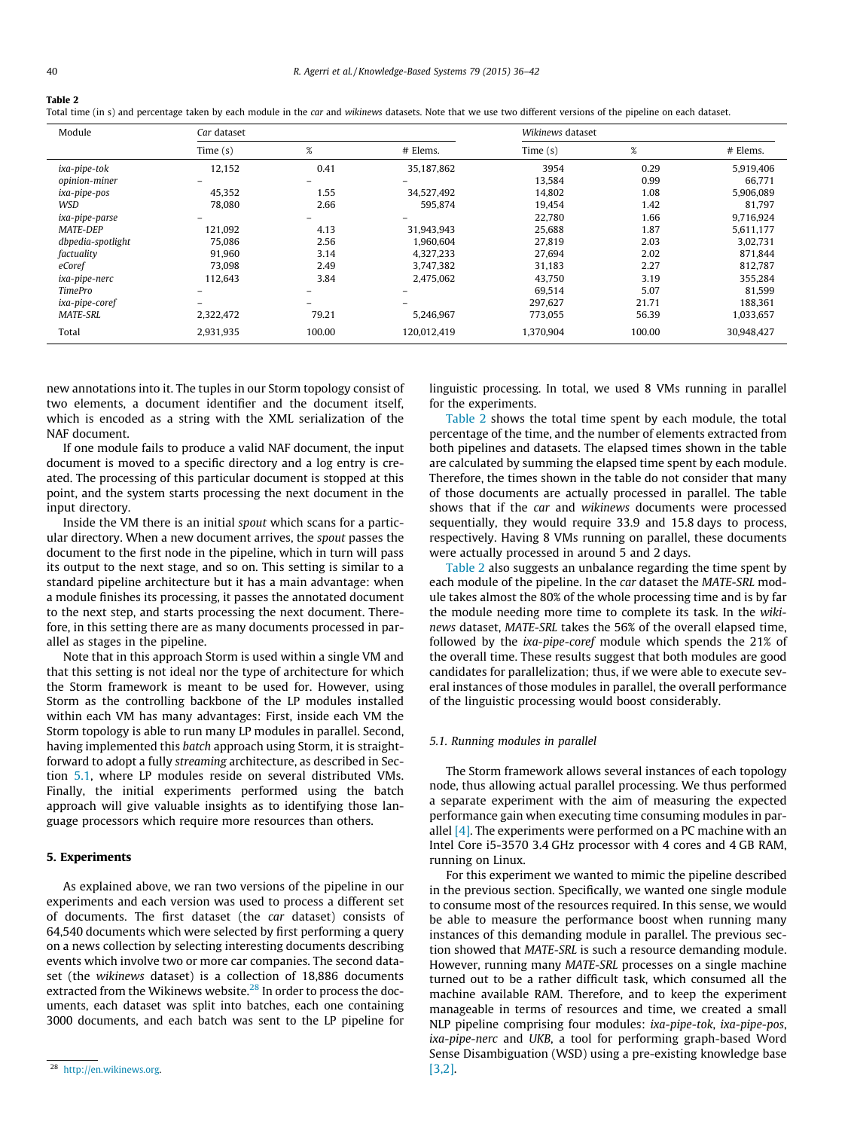<span id="page-4-0"></span>

Total time (in s) and percentage taken by each module in the car and wikinews datasets. Note that we use two different versions of the pipeline on each dataset.

| Module            | Car dataset              |        |             |            | Wikinews dataset |            |  |
|-------------------|--------------------------|--------|-------------|------------|------------------|------------|--|
|                   | Time $(s)$               | $\%$   | # Elems.    | Time $(s)$ | $\%$             | # Elems.   |  |
| ixa-pipe-tok      | 12,152                   | 0.41   | 35,187,862  | 3954       | 0.29             | 5,919,406  |  |
| opinion-miner     |                          |        |             | 13,584     | 0.99             | 66,771     |  |
| ixa-pipe-pos      | 45,352                   | 1.55   | 34,527,492  | 14,802     | 1.08             | 5,906,089  |  |
| WSD               | 78,080                   | 2.66   | 595,874     | 19,454     | 1.42             | 81,797     |  |
| ixa-pipe-parse    |                          |        |             | 22,780     | 1.66             | 9,716,924  |  |
| <b>MATE-DEP</b>   | 121,092                  | 4.13   | 31,943,943  | 25,688     | 1.87             | 5,611,177  |  |
| dbpedia-spotlight | 75,086                   | 2.56   | 1,960,604   | 27,819     | 2.03             | 3,02,731   |  |
| factuality        | 91,960                   | 3.14   | 4,327,233   | 27,694     | 2.02             | 871,844    |  |
| eCoref            | 73.098                   | 2.49   | 3,747,382   | 31,183     | 2.27             | 812,787    |  |
| ixa-pipe-nerc     | 112,643                  | 3.84   | 2,475,062   | 43,750     | 3.19             | 355,284    |  |
| TimePro           | $\overline{\phantom{m}}$ |        |             | 69,514     | 5.07             | 81,599     |  |
| ixa-pipe-coref    | -                        |        | -           | 297,627    | 21.71            | 188,361    |  |
| MATE-SRL          | 2,322,472                | 79.21  | 5.246.967   | 773.055    | 56.39            | 1,033,657  |  |
| Total             | 2,931,935                | 100.00 | 120,012,419 | 1,370,904  | 100.00           | 30,948,427 |  |

new annotations into it. The tuples in our Storm topology consist of two elements, a document identifier and the document itself, which is encoded as a string with the XML serialization of the NAF document.

If one module fails to produce a valid NAF document, the input document is moved to a specific directory and a log entry is created. The processing of this particular document is stopped at this point, and the system starts processing the next document in the input directory.

Inside the VM there is an initial spout which scans for a particular directory. When a new document arrives, the spout passes the document to the first node in the pipeline, which in turn will pass its output to the next stage, and so on. This setting is similar to a standard pipeline architecture but it has a main advantage: when a module finishes its processing, it passes the annotated document to the next step, and starts processing the next document. Therefore, in this setting there are as many documents processed in parallel as stages in the pipeline.

Note that in this approach Storm is used within a single VM and that this setting is not ideal nor the type of architecture for which the Storm framework is meant to be used for. However, using Storm as the controlling backbone of the LP modules installed within each VM has many advantages: First, inside each VM the Storm topology is able to run many LP modules in parallel. Second, having implemented this batch approach using Storm, it is straightforward to adopt a fully streaming architecture, as described in Section 5.1, where LP modules reside on several distributed VMs. Finally, the initial experiments performed using the batch approach will give valuable insights as to identifying those language processors which require more resources than others.

# 5. Experiments

As explained above, we ran two versions of the pipeline in our experiments and each version was used to process a different set of documents. The first dataset (the car dataset) consists of 64,540 documents which were selected by first performing a query on a news collection by selecting interesting documents describing events which involve two or more car companies. The second dataset (the wikinews dataset) is a collection of 18,886 documents extracted from the Wikinews website. $^{28}$  In order to process the documents, each dataset was split into batches, each one containing 3000 documents, and each batch was sent to the LP pipeline for linguistic processing. In total, we used 8 VMs running in parallel for the experiments.

Table 2 shows the total time spent by each module, the total percentage of the time, and the number of elements extracted from both pipelines and datasets. The elapsed times shown in the table are calculated by summing the elapsed time spent by each module. Therefore, the times shown in the table do not consider that many of those documents are actually processed in parallel. The table shows that if the car and wikinews documents were processed sequentially, they would require 33.9 and 15.8 days to process, respectively. Having 8 VMs running on parallel, these documents were actually processed in around 5 and 2 days.

Table 2 also suggests an unbalance regarding the time spent by each module of the pipeline. In the car dataset the MATE-SRL module takes almost the 80% of the whole processing time and is by far the module needing more time to complete its task. In the wikinews dataset, MATE-SRL takes the 56% of the overall elapsed time, followed by the ixa-pipe-coref module which spends the 21% of the overall time. These results suggest that both modules are good candidates for parallelization; thus, if we were able to execute several instances of those modules in parallel, the overall performance of the linguistic processing would boost considerably.

## 5.1. Running modules in parallel

The Storm framework allows several instances of each topology node, thus allowing actual parallel processing. We thus performed a separate experiment with the aim of measuring the expected performance gain when executing time consuming modules in parallel  $[4]$ . The experiments were performed on a PC machine with an Intel Core i5-3570 3.4 GHz processor with 4 cores and 4 GB RAM, running on Linux.

For this experiment we wanted to mimic the pipeline described in the previous section. Specifically, we wanted one single module to consume most of the resources required. In this sense, we would be able to measure the performance boost when running many instances of this demanding module in parallel. The previous section showed that MATE-SRL is such a resource demanding module. However, running many MATE-SRL processes on a single machine turned out to be a rather difficult task, which consumed all the machine available RAM. Therefore, and to keep the experiment manageable in terms of resources and time, we created a small NLP pipeline comprising four modules: ixa-pipe-tok, ixa-pipe-pos, ixa-pipe-nerc and UKB, a tool for performing graph-based Word Sense Disambiguation (WSD) using a pre-existing knowledge base [\[3,2\]](#page-5-0).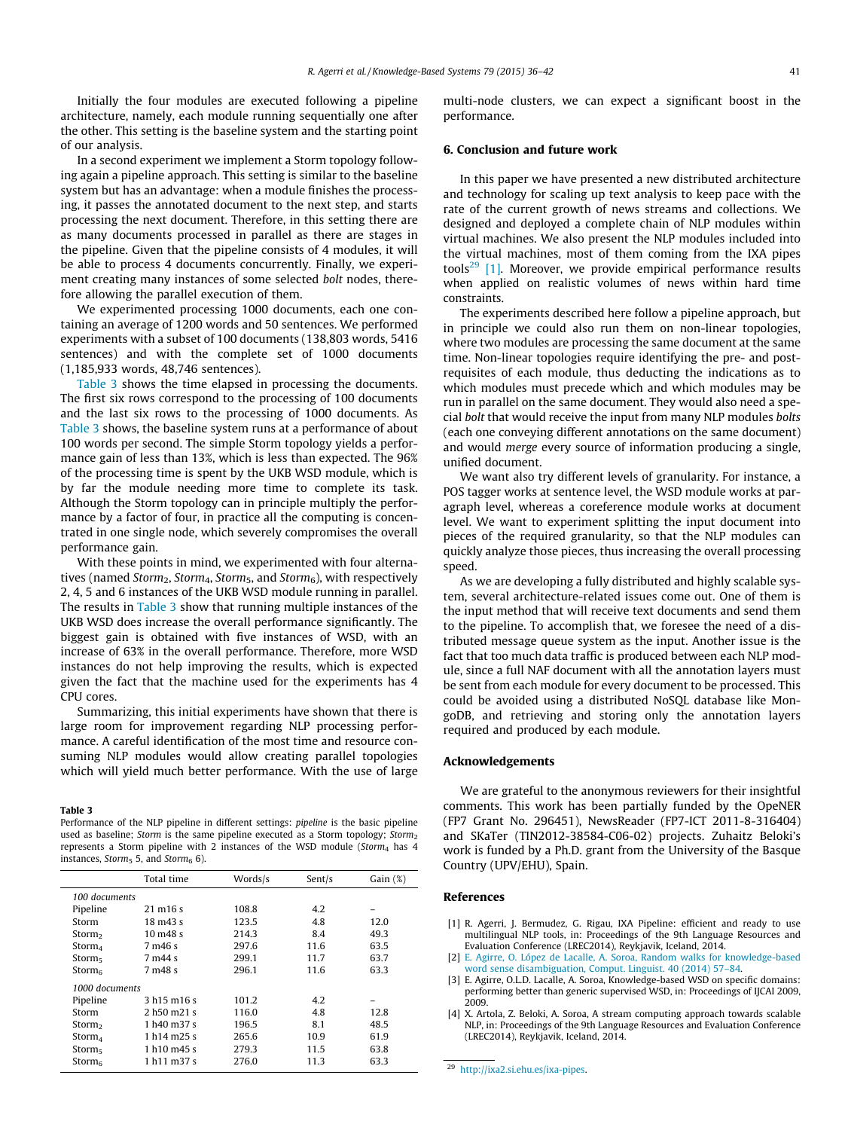<span id="page-5-0"></span>Initially the four modules are executed following a pipeline architecture, namely, each module running sequentially one after the other. This setting is the baseline system and the starting point of our analysis.

In a second experiment we implement a Storm topology following again a pipeline approach. This setting is similar to the baseline system but has an advantage: when a module finishes the processing, it passes the annotated document to the next step, and starts processing the next document. Therefore, in this setting there are as many documents processed in parallel as there are stages in the pipeline. Given that the pipeline consists of 4 modules, it will be able to process 4 documents concurrently. Finally, we experiment creating many instances of some selected bolt nodes, therefore allowing the parallel execution of them.

We experimented processing 1000 documents, each one containing an average of 1200 words and 50 sentences. We performed experiments with a subset of 100 documents (138,803 words, 5416 sentences) and with the complete set of 1000 documents (1,185,933 words, 48,746 sentences).

Table 3 shows the time elapsed in processing the documents. The first six rows correspond to the processing of 100 documents and the last six rows to the processing of 1000 documents. As Table 3 shows, the baseline system runs at a performance of about 100 words per second. The simple Storm topology yields a performance gain of less than 13%, which is less than expected. The 96% of the processing time is spent by the UKB WSD module, which is by far the module needing more time to complete its task. Although the Storm topology can in principle multiply the performance by a factor of four, in practice all the computing is concentrated in one single node, which severely compromises the overall performance gain.

With these points in mind, we experimented with four alternatives (named Storm<sub>2</sub>, Storm<sub>4</sub>, Storm<sub>5</sub>, and Storm<sub>6</sub>), with respectively 2, 4, 5 and 6 instances of the UKB WSD module running in parallel. The results in Table 3 show that running multiple instances of the UKB WSD does increase the overall performance significantly. The biggest gain is obtained with five instances of WSD, with an increase of 63% in the overall performance. Therefore, more WSD instances do not help improving the results, which is expected given the fact that the machine used for the experiments has 4 CPU cores.

Summarizing, this initial experiments have shown that there is large room for improvement regarding NLP processing performance. A careful identification of the most time and resource consuming NLP modules would allow creating parallel topologies which will yield much better performance. With the use of large

#### Table 3

Performance of the NLP pipeline in different settings: pipeline is the basic pipeline used as baseline; Storm is the same pipeline executed as a Storm topology; Storm2 represents a Storm pipeline with 2 instances of the WSD module (Storm<sub>4</sub> has 4 instances, Storm $_5$  5, and Storm $_6$  6).

|                    | Total time                 | Words/s | Sent/s | Gain $(%)$ |  |  |
|--------------------|----------------------------|---------|--------|------------|--|--|
| 100 documents      |                            |         |        |            |  |  |
| Pipeline           | $21 \text{ m}$ 16 s        | 108.8   | 4.2    |            |  |  |
| Storm              | 18 m43 s                   | 123.5   | 4.8    | 12.0       |  |  |
| Storm <sub>2</sub> | $10 \text{ m}48 \text{ s}$ | 214.3   | 8.4    | 49.3       |  |  |
| Storm <sub>4</sub> | 7 m46 s                    | 297.6   | 11.6   | 63.5       |  |  |
| Storm <sub>5</sub> | 7 m44 s                    | 299.1   | 11.7   | 63.7       |  |  |
| Storm <sub>6</sub> | 7 m 48 s                   | 296.1   | 11.6   | 63.3       |  |  |
| 1000 documents     |                            |         |        |            |  |  |
| Pipeline           | 3 h15 m16 s                | 101.2   | 4.2    |            |  |  |
| Storm              | 2 h50 m21 s                | 116.0   | 4.8    | 12.8       |  |  |
| Storm <sub>2</sub> | 1 h40 m37 s                | 196.5   | 8.1    | 48.5       |  |  |
| Storm <sub>4</sub> | 1 h14 m25 s                | 265.6   | 10.9   | 61.9       |  |  |
| Storm <sub>5</sub> | 1 h10 m45 s                | 279.3   | 11.5   | 63.8       |  |  |
| Storm <sub>6</sub> | 1 h11 m37 s                | 276.0   | 11.3   | 63.3       |  |  |

multi-node clusters, we can expect a significant boost in the performance.

# 6. Conclusion and future work

In this paper we have presented a new distributed architecture and technology for scaling up text analysis to keep pace with the rate of the current growth of news streams and collections. We designed and deployed a complete chain of NLP modules within virtual machines. We also present the NLP modules included into the virtual machines, most of them coming from the IXA pipes tools<sup>29</sup> [1]. Moreover, we provide empirical performance results when applied on realistic volumes of news within hard time constraints.

The experiments described here follow a pipeline approach, but in principle we could also run them on non-linear topologies, where two modules are processing the same document at the same time. Non-linear topologies require identifying the pre- and postrequisites of each module, thus deducting the indications as to which modules must precede which and which modules may be run in parallel on the same document. They would also need a special bolt that would receive the input from many NLP modules bolts (each one conveying different annotations on the same document) and would merge every source of information producing a single, unified document.

We want also try different levels of granularity. For instance, a POS tagger works at sentence level, the WSD module works at paragraph level, whereas a coreference module works at document level. We want to experiment splitting the input document into pieces of the required granularity, so that the NLP modules can quickly analyze those pieces, thus increasing the overall processing speed.

As we are developing a fully distributed and highly scalable system, several architecture-related issues come out. One of them is the input method that will receive text documents and send them to the pipeline. To accomplish that, we foresee the need of a distributed message queue system as the input. Another issue is the fact that too much data traffic is produced between each NLP module, since a full NAF document with all the annotation layers must be sent from each module for every document to be processed. This could be avoided using a distributed NoSQL database like MongoDB, and retrieving and storing only the annotation layers required and produced by each module.

## Acknowledgements

We are grateful to the anonymous reviewers for their insightful comments. This work has been partially funded by the OpeNER (FP7 Grant No. 296451), NewsReader (FP7-ICT 2011-8-316404) and SKaTer (TIN2012-38584-C06-02) projects. Zuhaitz Beloki's work is funded by a Ph.D. grant from the University of the Basque Country (UPV/EHU), Spain.

# References

- [1] R. Agerri, J. Bermudez, G. Rigau, IXA Pipeline: efficient and ready to use multilingual NLP tools, in: Proceedings of the 9th Language Resources and Evaluation Conference (LREC2014), Reykjavik, Iceland, 2014.
- [2] [E. Agirre, O. López de Lacalle, A. Soroa, Random walks for knowledge-based](http://refhub.elsevier.com/S0950-7051(14)00399-2/h0010) [word sense disambiguation, Comput. Linguist. 40 \(2014\) 57–84](http://refhub.elsevier.com/S0950-7051(14)00399-2/h0010).
- [3] E. Agirre, O.L.D. Lacalle, A. Soroa, Knowledge-based WSD on specific domains: performing better than generic supervised WSD, in: Proceedings of IJCAI 2009, 2009.
- [4] X. Artola, Z. Beloki, A. Soroa, A stream computing approach towards scalable NLP, in: Proceedings of the 9th Language Resources and Evaluation Conference (LREC2014), Reykjavik, Iceland, 2014.

<sup>29</sup> <http://ixa2.si.ehu.es/ixa-pipes>.